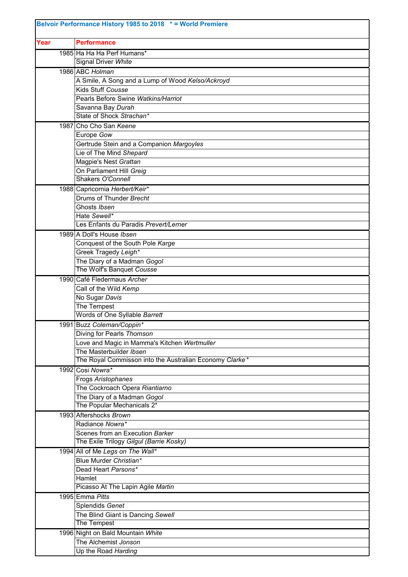| Belvoir Performance History 1985 to 2018 * = World Premiere |                                                                            |  |
|-------------------------------------------------------------|----------------------------------------------------------------------------|--|
| Year                                                        | <b>Performance</b>                                                         |  |
|                                                             | 1985 Ha Ha Ha Perf Humans*                                                 |  |
|                                                             | <b>Signal Driver White</b>                                                 |  |
|                                                             | 1986 ABC Holman                                                            |  |
|                                                             | A Smile, A Song and a Lump of Wood Kelso/Ackroyd                           |  |
|                                                             | Kids Stuff Cousse                                                          |  |
|                                                             | Pearls Before Swine Watkins/Harriot                                        |  |
|                                                             | Savanna Bay Durah<br>State of Shock Strachan*                              |  |
|                                                             | 1987 Cho Cho San Keene                                                     |  |
|                                                             | Europe Gow                                                                 |  |
|                                                             | Gertrude Stein and a Companion Margoyles                                   |  |
|                                                             | Lie of The Mind Shepard                                                    |  |
|                                                             | Magpie's Nest Grattan                                                      |  |
|                                                             | On Parliament Hill Greig                                                   |  |
|                                                             | Shakers O'Connell                                                          |  |
|                                                             | 1988 Capricornia Herbert/Keir*                                             |  |
|                                                             | Drums of Thunder Brecht                                                    |  |
|                                                             | Ghosts Ibsen                                                               |  |
|                                                             | Hate Sewell*                                                               |  |
|                                                             | Les Enfants du Paradis Prevert/Lerner                                      |  |
|                                                             | 1989 A Doll's House Ibsen                                                  |  |
|                                                             | Conquest of the South Pole Karge                                           |  |
|                                                             | Greek Tragedy Leigh*                                                       |  |
|                                                             | The Diary of a Madman Gogol                                                |  |
|                                                             | The Wolf's Banquet Cousse                                                  |  |
|                                                             | 1990 Café Fledermaus Archer                                                |  |
|                                                             | Call of the Wild Kemp<br>No Sugar Davis                                    |  |
|                                                             | The Tempest                                                                |  |
|                                                             | Words of One Syllable Barrett                                              |  |
|                                                             | 1991 Buzz Coleman/Coppin*                                                  |  |
|                                                             | Diving for Pearls Thomson                                                  |  |
|                                                             | Love and Magic in Mamma's Kitchen Wertmuller                               |  |
|                                                             | The Masterbuilder Ibsen                                                    |  |
|                                                             | The Royal Commisson into the Australian Economy Clarke*                    |  |
|                                                             | 1992 Cosi Nowra*                                                           |  |
|                                                             | Frogs Aristophanes                                                         |  |
|                                                             | The Cockroach Opera Riantiarno                                             |  |
|                                                             | The Diary of a Madman Gogol                                                |  |
|                                                             | The Popular Mechanicals 2*                                                 |  |
|                                                             | 1993 Aftershocks Brown                                                     |  |
|                                                             | Radiance Nowra*                                                            |  |
|                                                             | Scenes from an Execution Barker<br>The Exile Trilogy Gilgul (Barrie Kosky) |  |
|                                                             |                                                                            |  |
|                                                             | 1994 All of Me Legs on The Wall*<br>Blue Murder Christian*                 |  |
|                                                             | Dead Heart Parsons*                                                        |  |
|                                                             | Hamlet                                                                     |  |
|                                                             | Picasso At The Lapin Agile Martin                                          |  |
|                                                             | 1995 Emma Pitts                                                            |  |
|                                                             | Splendids Genet                                                            |  |
|                                                             | The Blind Giant is Dancing Sewell                                          |  |
|                                                             | The Tempest                                                                |  |
|                                                             | 1996 Night on Bald Mountain White                                          |  |
|                                                             | The Alchemist Jonson                                                       |  |
|                                                             | Up the Road Harding                                                        |  |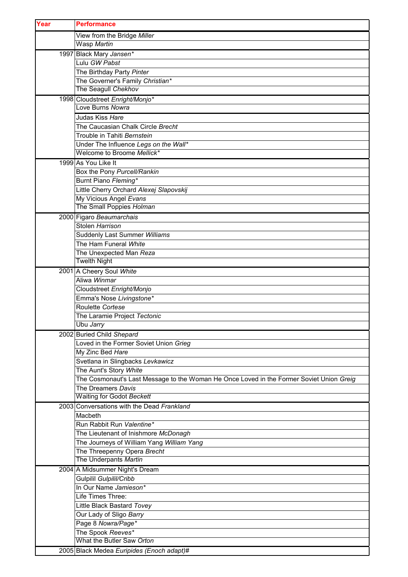| Year | <b>Performance</b>                                                                       |
|------|------------------------------------------------------------------------------------------|
|      | View from the Bridge Miller                                                              |
|      | Wasp Martin                                                                              |
|      | 1997 Black Mary Jansen*                                                                  |
|      | Lulu GW Pabst                                                                            |
|      | The Birthday Party Pinter                                                                |
|      | The Governer's Family Christian*                                                         |
|      | The Seagull Chekhov                                                                      |
|      | 1998 Cloudstreet Enright/Monjo*                                                          |
|      | Love Burns Nowra                                                                         |
|      | Judas Kiss Hare                                                                          |
|      | The Caucasian Chalk Circle Brecht                                                        |
|      | Trouble in Tahiti Bernstein                                                              |
|      | Under The Influence Legs on the Wall*<br>Welcome to Broome Mellick*                      |
|      |                                                                                          |
|      | 1999 As You Like It                                                                      |
|      | Box the Pony Purcell/Rankin                                                              |
|      | Burnt Piano Fleming*<br>Little Cherry Orchard Alexej Slapovskij                          |
|      | My Vicious Angel Evans                                                                   |
|      | The Small Poppies Holman                                                                 |
|      | 2000 Figaro Beaumarchais                                                                 |
|      | Stolen Harrison                                                                          |
|      | Suddenly Last Summer Williams                                                            |
|      | The Ham Funeral White                                                                    |
|      | The Unexpected Man Reza                                                                  |
|      | <b>Twelth Night</b>                                                                      |
|      | 2001 A Cheery Soul White                                                                 |
|      | Aliwa Winmar                                                                             |
|      | Cloudstreet Enright/Monjo                                                                |
|      | Emma's Nose Livingstone*                                                                 |
|      | Roulette Cortese                                                                         |
|      | The Laramie Project Tectonic                                                             |
|      | Ubu Jarry                                                                                |
|      | 2002 Buried Child Shepard                                                                |
|      | Loved in the Former Soviet Union Grieg                                                   |
|      | My Zinc Bed Hare                                                                         |
|      | Svetlana in Slingbacks Levkawicz                                                         |
|      | The Aunt's Story White                                                                   |
|      | The Cosmonaut's Last Message to the Woman He Once Loved in the Former Soviet Union Greig |
|      | The Dreamers Davis<br>Waiting for Godot Beckett                                          |
|      | 2003 Conversations with the Dead Frankland                                               |
|      | Macbeth                                                                                  |
|      | Run Rabbit Run Valentine*                                                                |
|      | The Lieutenant of Inishmore McDonagh                                                     |
|      | The Journeys of William Yang William Yang                                                |
|      | The Threepenny Opera Brecht                                                              |
|      | The Underpants Martin                                                                    |
|      | 2004 A Midsummer Night's Dream                                                           |
|      | Gulpilil Gulpilil/Cribb                                                                  |
|      | In Our Name Jamieson*                                                                    |
|      | Life Times Three:                                                                        |
|      | Little Black Bastard Tovey                                                               |
|      | Our Lady of Sligo Barry                                                                  |
|      | Page 8 Nowra/Page*                                                                       |
|      | The Spook Reeves*                                                                        |
|      | What the Butler Saw Orton                                                                |
|      | 2005 Black Medea Euripides (Enoch adapt)#                                                |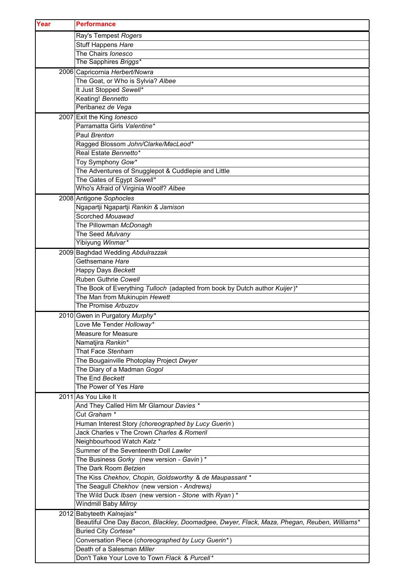| Year | <b>Performance</b>                                                                                     |
|------|--------------------------------------------------------------------------------------------------------|
|      | Ray's Tempest Rogers                                                                                   |
|      | Stuff Happens Hare                                                                                     |
|      | The Chairs lonesco                                                                                     |
|      | The Sapphires Briggs*                                                                                  |
|      | 2006 Capricornia Herbert/Nowra                                                                         |
|      | The Goat, or Who is Sylvia? Albee                                                                      |
|      | It Just Stopped Sewell*                                                                                |
|      | Keating! Bennetto                                                                                      |
|      | Peribanez de Vega                                                                                      |
|      | 2007 Exit the King lonesco                                                                             |
|      | Parramatta Girls Valentine*                                                                            |
|      | Paul Brenton                                                                                           |
|      | Ragged Blossom John/Clarke/MacLeod*                                                                    |
|      | Real Estate Bennetto*                                                                                  |
|      | Toy Symphony Gow*                                                                                      |
|      | The Adventures of Snugglepot & Cuddlepie and Little                                                    |
|      | The Gates of Egypt Sewell*                                                                             |
|      | Who's Afraid of Virginia Woolf? Albee                                                                  |
|      | 2008 Antigone Sophocles                                                                                |
|      | Ngapartji Ngapartji Rankin & Jamison                                                                   |
|      | Scorched Mouawad                                                                                       |
|      | The Pillowman McDonagh                                                                                 |
|      | The Seed Mulvany<br>Yibiyung Winmar*                                                                   |
|      |                                                                                                        |
|      | 2009 Baghdad Wedding Abdulrazzak<br>Gethsemane Hare                                                    |
|      | Happy Days Beckett                                                                                     |
|      | Ruben Guthrie Cowell                                                                                   |
|      | The Book of Everything Tulloch (adapted from book by Dutch author Kuijer)*                             |
|      | The Man from Mukinupin Hewett                                                                          |
|      | The Promise Arbuzov                                                                                    |
|      | 2010 Gwen in Purgatory Murphy*                                                                         |
|      | Love Me Tender Holloway*                                                                               |
|      | <b>Measure for Measure</b>                                                                             |
|      | Namatjira Rankin*                                                                                      |
|      | That Face Stenham                                                                                      |
|      | The Bougainville Photoplay Project Dwyer                                                               |
|      | The Diary of a Madman Gogol                                                                            |
|      | The End Beckett                                                                                        |
|      | The Power of Yes Hare                                                                                  |
|      | 2011 As You Like It                                                                                    |
|      | And They Called Him Mr Glamour Davies *                                                                |
|      | Cut Graham *                                                                                           |
|      | Human Interest Story (choreographed by Lucy Guerin)                                                    |
|      | Jack Charles v The Crown Charles & Romeril                                                             |
|      | Neighbourhood Watch Katz *                                                                             |
|      | Summer of the Seventeenth Doll Lawler                                                                  |
|      | The Business Gorky (new version - Gavin) *                                                             |
|      | The Dark Room Betzien                                                                                  |
|      | The Kiss Chekhov, Chopin, Goldsworthy & de Maupassant *<br>The Seagull Chekhov (new version - Andrews) |
|      | The Wild Duck Ibsen (new version - Stone with Ryan)*                                                   |
|      | Windmill Baby Milroy                                                                                   |
|      | 2012 Babyteeth Kalnejais*                                                                              |
|      | Beautiful One Day Bacon, Blackley, Doomadgee, Dwyer, Flack, Maza, Phegan, Reuben, Williams*            |
|      | Buried City Cortese*                                                                                   |
|      | Conversation Piece (choreographed by Lucy Guerin*)                                                     |
|      | Death of a Salesman Miller                                                                             |
|      | Don't Take Your Love to Town Flack & Purcell*                                                          |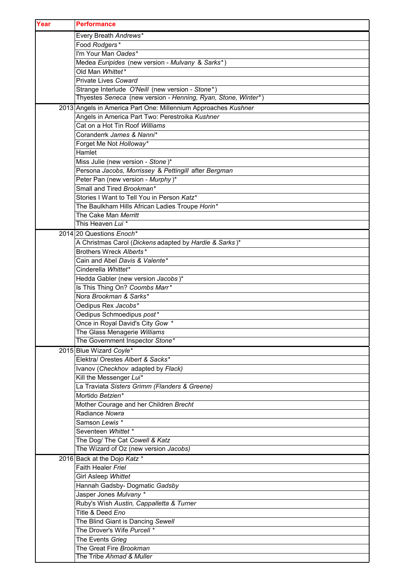| Year   | <b>Performance</b>                                             |
|--------|----------------------------------------------------------------|
|        | Every Breath Andrews*                                          |
|        | Food Rodgers*                                                  |
|        | I'm Your Man Oades*                                            |
|        | Medea Euripides (new version - Mulvany & Sarks*)               |
|        | Old Man Whittet*                                               |
|        | Private Lives Coward                                           |
|        | Strange Interlude O'Neill (new version - Stone*)               |
|        | Thyestes Seneca (new version - Henning, Ryan, Stone, Winter*)  |
|        | 2013 Angels in America Part One: Millennium Approaches Kushner |
|        | Angels in America Part Two: Perestroika Kushner                |
|        | Cat on a Hot Tin Roof Williams                                 |
|        | Coranderrk James & Nanni*                                      |
|        | Forget Me Not Holloway*                                        |
| Hamlet |                                                                |
|        | Miss Julie (new version - Stone)*                              |
|        | Persona Jacobs, Morrissey & Pettingill after Bergman           |
|        | Peter Pan (new version - Murphy)*                              |
|        | Small and Tired Brookman*                                      |
|        | Stories I Want to Tell You in Person Katz*                     |
|        | The Baulkham Hills African Ladies Troupe Horin*                |
|        | The Cake Man Merritt                                           |
|        | This Heaven Lui <sup>*</sup>                                   |
|        | 2014 20 Questions Enoch*                                       |
|        | A Christmas Carol (Dickens adapted by Hardie & Sarks)*         |
|        | Brothers Wreck Alberts*                                        |
|        | Cain and Abel Davis & Valente*                                 |
|        | Cinderella Whittet*                                            |
|        | Hedda Gabler (new version Jacobs)*                             |
|        | Is This Thing On? Coombs Marr*<br>Nora Brookman & Sarks*       |
|        | Oedipus Rex Jacobs*                                            |
|        | Oedipus Schmoedipus post*                                      |
|        | Once in Royal David's City Gow *                               |
|        | The Glass Menagerie Williams                                   |
|        | The Government Inspector Stone*                                |
|        | 2015 Blue Wizard Coyle*                                        |
|        | Elektra/ Orestes Albert & Sacks*                               |
|        | Ivanov (Checkhov adapted by Flack)                             |
|        | Kill the Messenger Lui*                                        |
|        | La Traviata Sisters Grimm (Flanders & Greene)                  |
|        | Mortido Betzien*                                               |
|        | Mother Courage and her Children Brecht                         |
|        | Radiance Nowra                                                 |
|        | Samson Lewis *                                                 |
|        | Seventeen Whittet *                                            |
|        | The Dog/ The Cat Cowell & Katz                                 |
|        | The Wizard of Oz (new version Jacobs)                          |
|        | 2016 Back at the Dojo Katz *                                   |
|        | Faith Healer Friel                                             |
|        | Girl Asleep Whittet                                            |
|        | Hannah Gadsby- Dogmatic Gadsby                                 |
|        | Jasper Jones Mulvany *                                         |
|        | Ruby's Wish Austin, Cappalletta & Turner                       |
|        | Title & Deed Eno                                               |
|        | The Blind Giant is Dancing Sewell                              |
|        | The Drover's Wife Purcell *                                    |
|        | The Events Grieg                                               |
|        | The Great Fire Brookman<br>The Tribe Ahmad & Muller            |